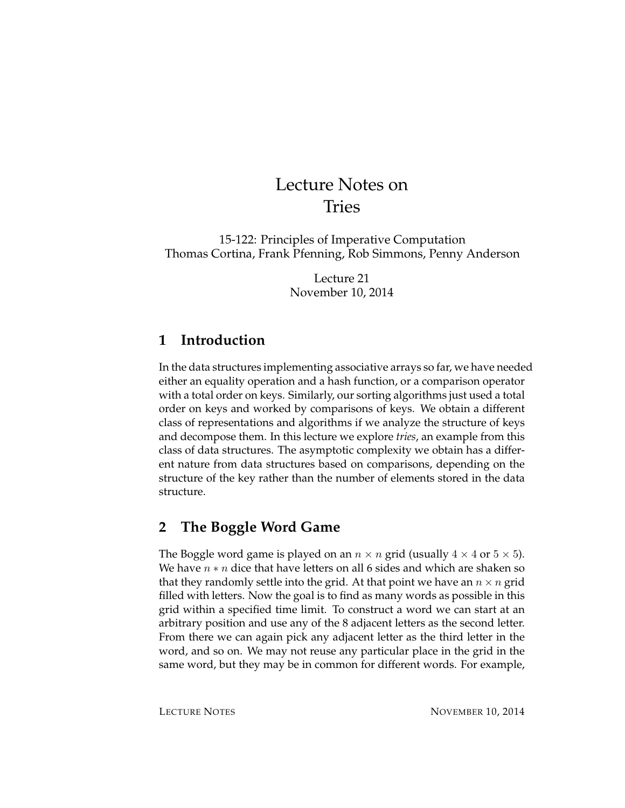# Lecture Notes on Tries

15-122: Principles of Imperative Computation Thomas Cortina, Frank Pfenning, Rob Simmons, Penny Anderson

> Lecture 21 November 10, 2014

## **1 Introduction**

In the data structures implementing associative arrays so far, we have needed either an equality operation and a hash function, or a comparison operator with a total order on keys. Similarly, our sorting algorithms just used a total order on keys and worked by comparisons of keys. We obtain a different class of representations and algorithms if we analyze the structure of keys and decompose them. In this lecture we explore *tries*, an example from this class of data structures. The asymptotic complexity we obtain has a different nature from data structures based on comparisons, depending on the structure of the key rather than the number of elements stored in the data structure.

# **2 The Boggle Word Game**

The Boggle word game is played on an  $n \times n$  grid (usually  $4 \times 4$  or  $5 \times 5$ ). We have  $n * n$  dice that have letters on all 6 sides and which are shaken so that they randomly settle into the grid. At that point we have an  $n \times n$  grid filled with letters. Now the goal is to find as many words as possible in this grid within a specified time limit. To construct a word we can start at an arbitrary position and use any of the 8 adjacent letters as the second letter. From there we can again pick any adjacent letter as the third letter in the word, and so on. We may not reuse any particular place in the grid in the same word, but they may be in common for different words. For example,

LECTURE NOTES NOVEMBER 10, 2014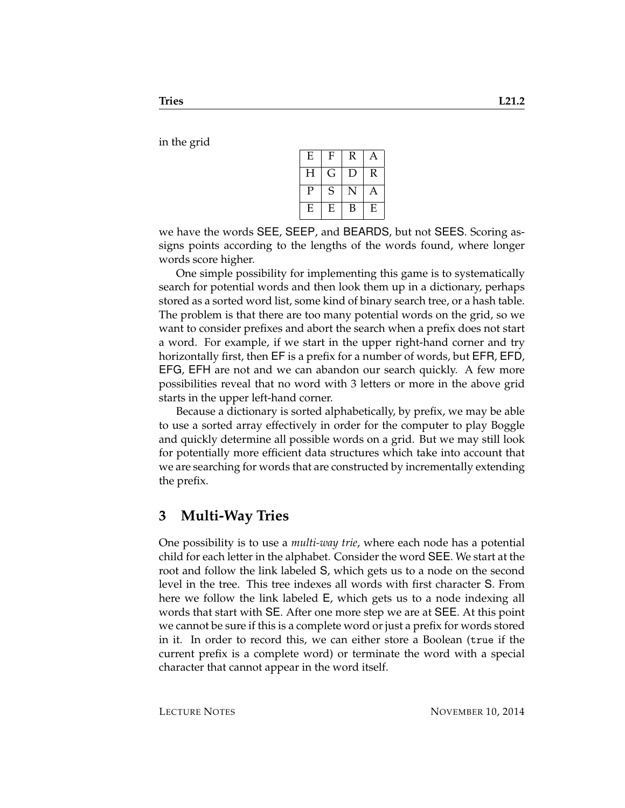in the grid

| E | F | R | Α |
|---|---|---|---|
| Н | G | D | R |
| P | S | N | Α |
| E | E | В | E |

we have the words SEE, SEEP, and BEARDS, but not SEES. Scoring assigns points according to the lengths of the words found, where longer words score higher.

One simple possibility for implementing this game is to systematically search for potential words and then look them up in a dictionary, perhaps stored as a sorted word list, some kind of binary search tree, or a hash table. The problem is that there are too many potential words on the grid, so we want to consider prefixes and abort the search when a prefix does not start a word. For example, if we start in the upper right-hand corner and try horizontally first, then EF is a prefix for a number of words, but EFR, EFD, EFG, EFH are not and we can abandon our search quickly. A few more possibilities reveal that no word with 3 letters or more in the above grid starts in the upper left-hand corner.

Because a dictionary is sorted alphabetically, by prefix, we may be able to use a sorted array effectively in order for the computer to play Boggle and quickly determine all possible words on a grid. But we may still look for potentially more efficient data structures which take into account that we are searching for words that are constructed by incrementally extending the prefix.

#### **3 Multi-Way Tries**

One possibility is to use a *multi-way trie*, where each node has a potential child for each letter in the alphabet. Consider the word SEE. We start at the root and follow the link labeled S, which gets us to a node on the second level in the tree. This tree indexes all words with first character S. From here we follow the link labeled E, which gets us to a node indexing all words that start with SE. After one more step we are at SEE. At this point we cannot be sure if this is a complete word or just a prefix for words stored in it. In order to record this, we can either store a Boolean (true if the current prefix is a complete word) or terminate the word with a special character that cannot appear in the word itself.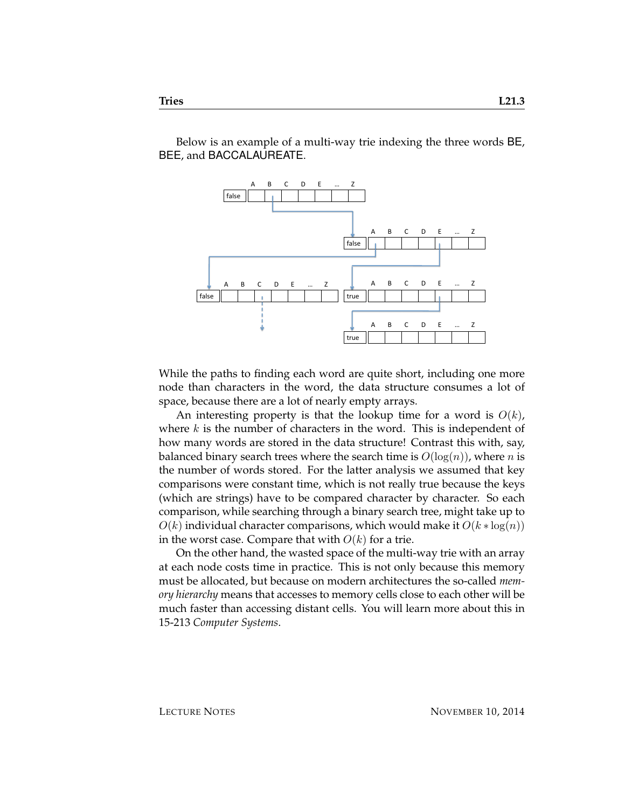Below is an example of a multi-way trie indexing the three words BE, BEE, and BACCALAUREATE.



While the paths to finding each word are quite short, including one more node than characters in the word, the data structure consumes a lot of space, because there are a lot of nearly empty arrays.

An interesting property is that the lookup time for a word is  $O(k)$ , where  $k$  is the number of characters in the word. This is independent of how many words are stored in the data structure! Contrast this with, say, balanced binary search trees where the search time is  $O(log(n))$ , where n is the number of words stored. For the latter analysis we assumed that key comparisons were constant time, which is not really true because the keys (which are strings) have to be compared character by character. So each comparison, while searching through a binary search tree, might take up to  $O(k)$  individual character comparisons, which would make it  $O(k * log(n))$ in the worst case. Compare that with  $O(k)$  for a trie.

On the other hand, the wasted space of the multi-way trie with an array at each node costs time in practice. This is not only because this memory must be allocated, but because on modern architectures the so-called *memory hierarchy* means that accesses to memory cells close to each other will be much faster than accessing distant cells. You will learn more about this in 15-213 *Computer Systems*.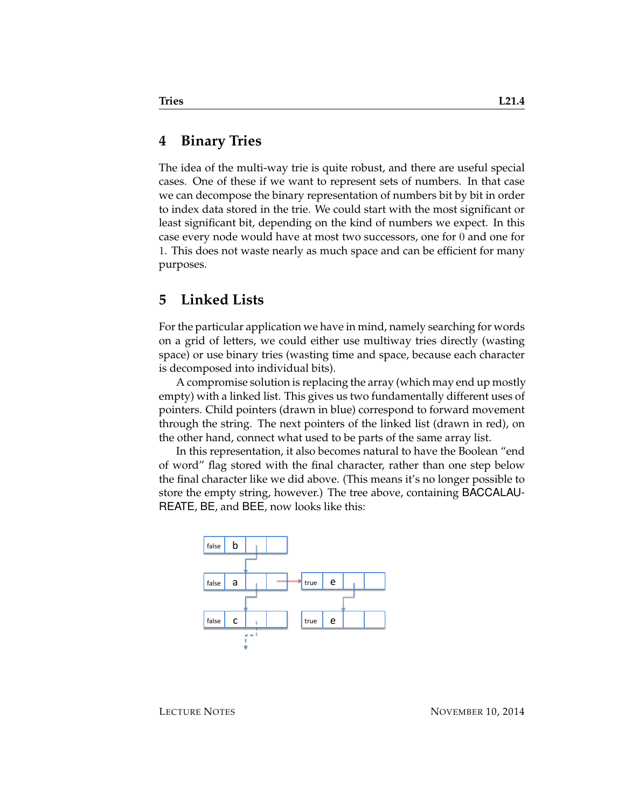#### **4 Binary Tries**

The idea of the multi-way trie is quite robust, and there are useful special cases. One of these if we want to represent sets of numbers. In that case we can decompose the binary representation of numbers bit by bit in order to index data stored in the trie. We could start with the most significant or least significant bit, depending on the kind of numbers we expect. In this case every node would have at most two successors, one for 0 and one for 1. This does not waste nearly as much space and can be efficient for many purposes.

#### **5 Linked Lists**

For the particular application we have in mind, namely searching for words on a grid of letters, we could either use multiway tries directly (wasting space) or use binary tries (wasting time and space, because each character is decomposed into individual bits).

A compromise solution is replacing the array (which may end up mostly empty) with a linked list. This gives us two fundamentally different uses of pointers. Child pointers (drawn in blue) correspond to forward movement through the string. The next pointers of the linked list (drawn in red), on the other hand, connect what used to be parts of the same array list.

In this representation, it also becomes natural to have the Boolean "end of word" flag stored with the final character, rather than one step below the final character like we did above. (This means it's no longer possible to store the empty string, however.) The tree above, containing BACCALAU-REATE, BE, and BEE, now looks like this:

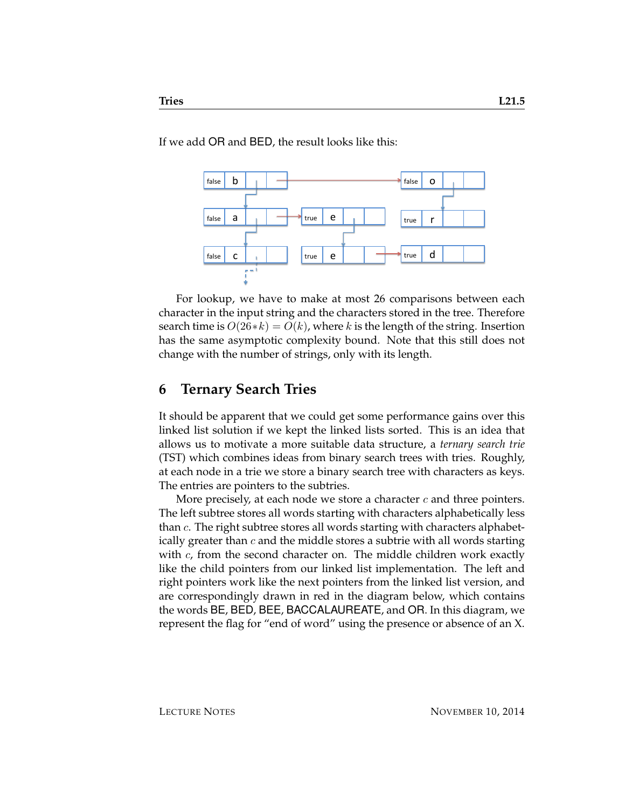If we add OR and BED, the result looks like this:



For lookup, we have to make at most 26 comparisons between each character in the input string and the characters stored in the tree. Therefore search time is  $O(26*k) = O(k)$ , where k is the length of the string. Insertion has the same asymptotic complexity bound. Note that this still does not change with the number of strings, only with its length.

## **6 Ternary Search Tries**

It should be apparent that we could get some performance gains over this linked list solution if we kept the linked lists sorted. This is an idea that allows us to motivate a more suitable data structure, a *ternary search trie* (TST) which combines ideas from binary search trees with tries. Roughly, at each node in a trie we store a binary search tree with characters as keys. The entries are pointers to the subtries.

More precisely, at each node we store a character  $c$  and three pointers. The left subtree stores all words starting with characters alphabetically less than  $c$ . The right subtree stores all words starting with characters alphabetically greater than  $c$  and the middle stores a subtrie with all words starting with  $c$ , from the second character on. The middle children work exactly like the child pointers from our linked list implementation. The left and right pointers work like the next pointers from the linked list version, and are correspondingly drawn in red in the diagram below, which contains the words BE, BED, BEE, BACCALAUREATE, and OR. In this diagram, we represent the flag for "end of word" using the presence or absence of an X.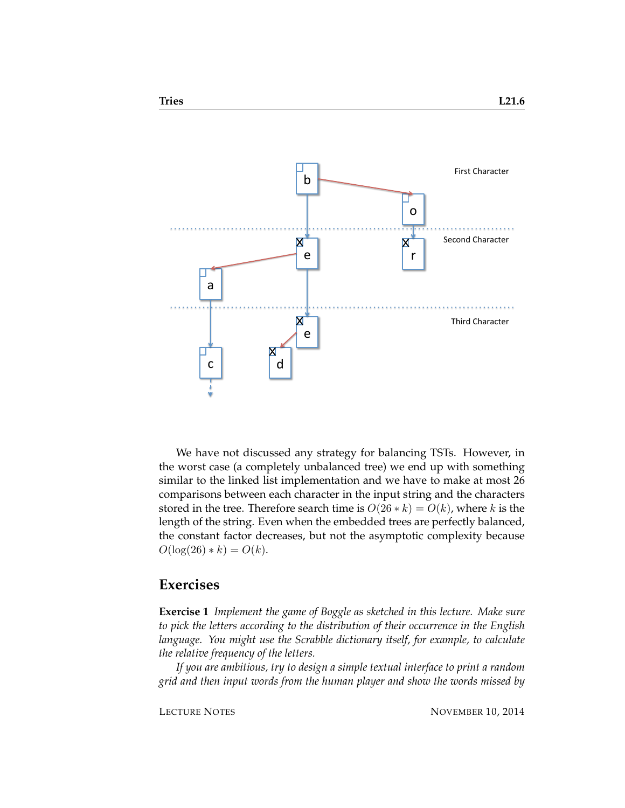

We have not discussed any strategy for balancing TSTs. However, in the worst case (a completely unbalanced tree) we end up with something similar to the linked list implementation and we have to make at most 26 comparisons between each character in the input string and the characters stored in the tree. Therefore search time is  $O(26 * k) = O(k)$ , where k is the length of the string. Even when the embedded trees are perfectly balanced, the constant factor decreases, but not the asymptotic complexity because  $O(\log(26) * k) = O(k)$ .

#### **Exercises**

**Exercise 1** *Implement the game of Boggle as sketched in this lecture. Make sure to pick the letters according to the distribution of their occurrence in the English language. You might use the Scrabble dictionary itself, for example, to calculate the relative frequency of the letters.*

*If you are ambitious, try to design a simple textual interface to print a random grid and then input words from the human player and show the words missed by*

LECTURE NOTES NOVEMBER 10, 2014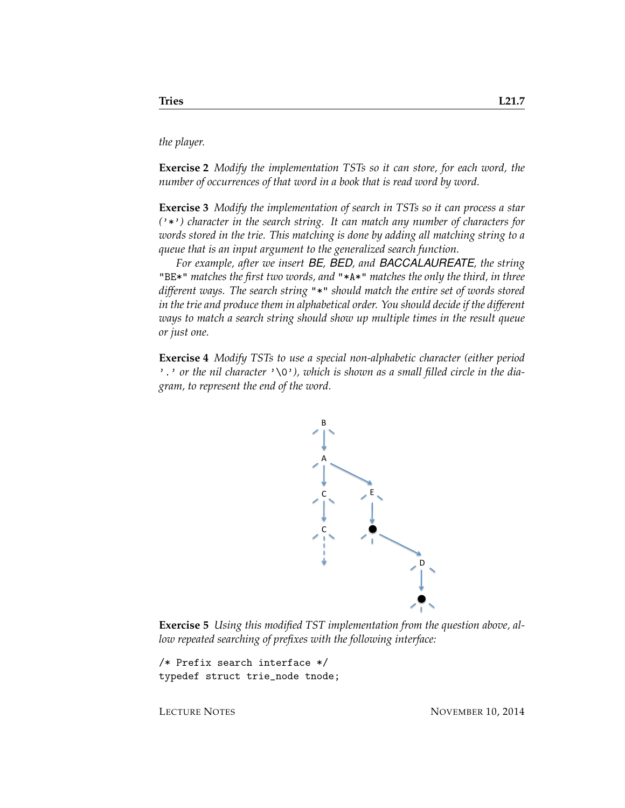*the player.*

**Exercise 2** *Modify the implementation TSTs so it can store, for each word, the number of occurrences of that word in a book that is read word by word.*

**Exercise 3** *Modify the implementation of search in TSTs so it can process a star (*'\*'*) character in the search string. It can match any number of characters for words stored in the trie. This matching is done by adding all matching string to a queue that is an input argument to the generalized search function.*

*For example, after we insert BE, BED, and BACCALAUREATE, the string* "BE\*" *matches the first two words, and* "\*A\*" *matches the only the third, in three different ways. The search string* "\*" *should match the entire set of words stored in the trie and produce them in alphabetical order. You should decide if the different ways to match a search string should show up multiple times in the result queue or just one.*

**Exercise 4** *Modify TSTs to use a special non-alphabetic character (either period* '.' or the nil character '\0'), which is shown as a small filled circle in the dia*gram, to represent the end of the word.*



**Exercise 5** *Using this modified TST implementation from the question above, allow repeated searching of prefixes with the following interface:*

/\* Prefix search interface \*/ typedef struct trie\_node tnode;

LECTURE NOTES NOVEMBER 10, 2014